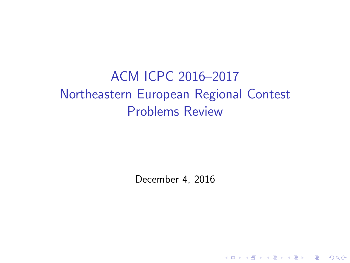# ACM ICPC 2016–2017 Northeastern European Regional Contest Problems Review

December 4, 2016

K ロ ▶ K @ ▶ K 할 > K 할 > 1 할 > 1 이익어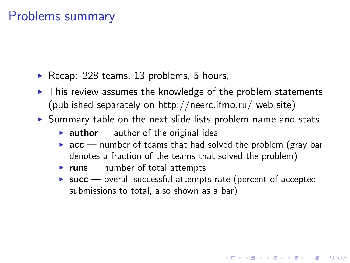## Problems summary

- Recap: 228 teams, 13 problems, 5 hours,
- $\triangleright$  This review assumes the knowledge of the problem statements (published separately on http://neerc.ifmo.ru/ web site)
- $\triangleright$  Summary table on the next slide lists problem name and stats
	- **author** author of the original idea
	- $\triangleright$  acc number of teams that had solved the problem (gray bar denotes a fraction of the teams that solved the problem)
	- $\triangleright$  runs number of total attempts
	- $\triangleright$  succ overall successful attempts rate (percent of accepted submissions to total, also shown as a bar)

**KORK ERKER ADE YOUR**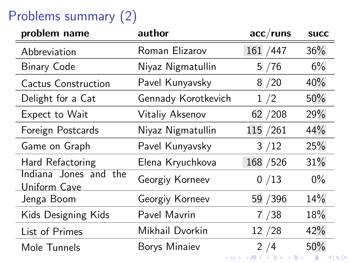# Problems summary (2)

| problem name                          | author              | $acc/r$ uns | <b>SUCC</b> |
|---------------------------------------|---------------------|-------------|-------------|
| Abbreviation                          | Roman Elizarov      | 161 / 447   | 36%         |
| <b>Binary Code</b>                    | Niyaz Nigmatullin   | 5/76        | 6%          |
| Cactus Construction                   | Pavel Kunyavsky     | 8/20        | 40%         |
| Delight for a Cat                     | Gennady Korotkevich | 1/2         | 50%         |
| Expect to Wait                        | Vitaliy Aksenov     | 62 / 208    | 29%         |
| Foreign Postcards                     | Niyaz Nigmatullin   | 115 / 261   | 44%         |
| Game on Graph                         | Pavel Kunyavsky     | 3/12        | 25%         |
| Hard Refactoring                      | Elena Kryuchkova    | 168 / 526   | 31%         |
| Indiana Jones and the<br>Uniform Cave | Georgiy Korneev     | 0/13        | $0\%$       |
| Jenga Boom                            | Georgiy Korneev     | 59 / 396    | 14%         |
| Kids Designing Kids                   | Pavel Mavrin        | 7/38        | 18%         |
| List of Primes                        | Mikhail Dvorkin     | 12 / 28     | 42%         |
| Mole Tunnels                          | Borys Minaiev       | 2/4         | 50%         |
|                                       |                     |             | つへへ         |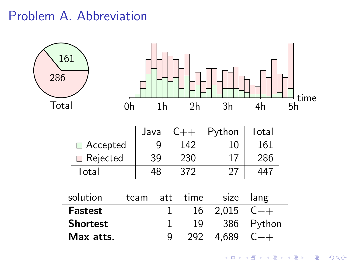## Problem A. Abbreviation

| 161<br>286 |                 |    |      |                |                |        |       |        | time |
|------------|-----------------|----|------|----------------|----------------|--------|-------|--------|------|
| Total      |                 | 0h |      | 1 <sub>h</sub> | 2 <sub>h</sub> |        | 3h    | 4h     | 5h   |
|            |                 |    | Java |                | $C++$          | Python |       | Total  |      |
|            | $\Box$ Accepted |    |      | 9              | 142            |        | 10    | 161    |      |
|            | Rejected        |    |      | 39             | 230            |        | 17    | 286    |      |
|            | Total           |    |      | 48             | 372            |        | 27    | 447    |      |
|            |                 |    |      |                |                |        |       |        |      |
|            | solution        |    | team | att            | time           |        | size  | lang   |      |
|            | <b>Fastest</b>  |    |      | 1              | 16             |        | 2,015 | $C++$  |      |
|            | <b>Shortest</b> |    |      | 1              | 19             |        | 386   | Python |      |
|            | Max atts.       |    |      | 9              | 292            | 4,689  |       | $C++$  |      |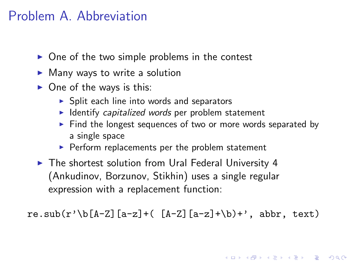## Problem A. Abbreviation

- $\triangleright$  One of the two simple problems in the contest
- $\blacktriangleright$  Many ways to write a solution
- $\triangleright$  One of the ways is this:
	- $\triangleright$  Split each line into words and separators
	- $\blacktriangleright$  Identify capitalized words per problem statement
	- $\triangleright$  Find the longest sequences of two or more words separated by a single space
	- $\blacktriangleright$  Perform replacements per the problem statement
- $\blacktriangleright$  The shortest solution from Ural Federal University 4 (Ankudinov, Borzunov, Stikhin) uses a single regular expression with a replacement function:

re.sub(r'\b[A-Z][a-z]+( $[A-Z]$ [a-z]+\b)+', abbr, text)

**K ロ ▶ K @ ▶ K 할 X X 할 X → 할 X → 9 Q Q ^**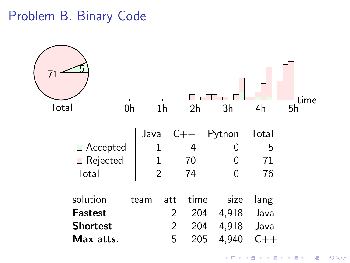# Problem B. Binary Code

|                 |                 |                |     |                |        |       | time           |
|-----------------|-----------------|----------------|-----|----------------|--------|-------|----------------|
| Total           | 0h              | 1 <sub>h</sub> |     | 2 <sub>h</sub> | 3h     | 4h    | 5 <sub>h</sub> |
|                 |                 | Java           |     | $C++$          | Python | Total |                |
|                 | $\Box$ Accepted | 1              |     | 4              | 0      | 5     |                |
|                 | Rejected        | 1              |     | 70             | 0      | 71    |                |
| Total           |                 | $\overline{2}$ |     | 74             | 0      | 76    |                |
| solution        |                 | team           | att | time           | size   | lang  |                |
| <b>Fastest</b>  |                 |                | 2   | 204            | 4,918  | Java  |                |
| <b>Shortest</b> |                 |                | 2   | 204            | 4,918  | Java  |                |
| Max atts.       |                 |                | 5   | 205            | 4,940  | $C++$ |                |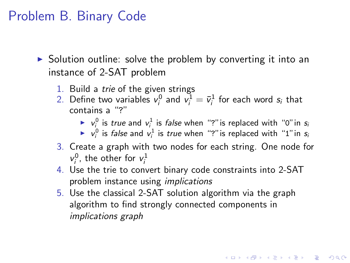# Problem B. Binary Code

 $\triangleright$  Solution outline: solve the problem by converting it into an instance of 2-SAT problem

- 1. Build a trie of the given strings
- 2. Define two variables  $v_i^0$  and  $v_i^1 = \bar{v}_i^1$  for each word  $s_i$  that contains a "?"
	- $\blacktriangleright$   $v_i^0$  is *true* and  $v_i^1$  is *false* when "?" is replaced with "0" in *s*
	- $\blacktriangleright$   $v_i^0$  is *false* and  $v_i^1$  is *true* when "?" is replaced with "1" in *s*<sub>i</sub>

4 D > 4 P + 4 B + 4 B + B + 9 Q O

- 3. Create a graph with two nodes for each string. One node for  $v_i^0$ , the other for  $v_i^1$
- 4. Use the trie to convert binary code constraints into 2-SAT problem instance using implications
- 5. Use the classical 2-SAT solution algorithm via the graph algorithm to find strongly connected components in implications graph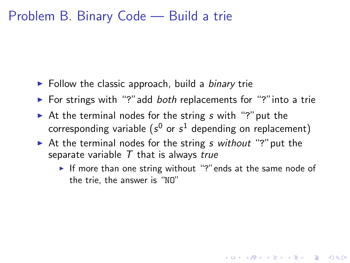#### Problem B. Binary Code — Build a trie

- $\blacktriangleright$  Follow the classic approach, build a *binary* trie
- $\triangleright$  For strings with "?" add *both* replacements for "?" into a trie
- At the terminal nodes for the string  $s$  with "?" put the corresponding variable ( $s^0$  or  $s^1$  depending on replacement)
- $\triangleright$  At the terminal nodes for the string s without "?" put the separate variable  $T$  that is always true
	- If more than one string without "?" ends at the same node of the trie, the answer is "NO"

4 D > 4 P + 4 B + 4 B + B + 9 Q O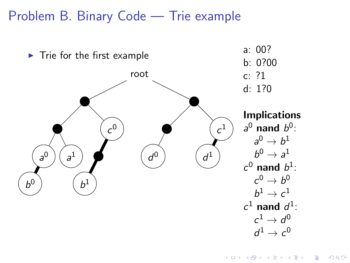#### Problem B. Binary Code — Trie example



**KORK STRAIN A BAR SHOP**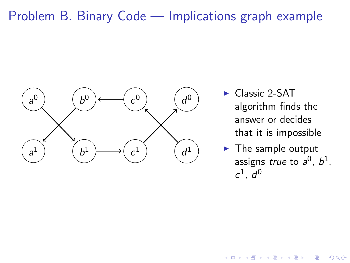#### Problem B. Binary Code — Implications graph example



- Classic 2-SAT algorithm finds the answer or decides that it is impossible
- $\blacktriangleright$  The sample output assigns true to  $a^0$ ,  $b^1$ ,  $c^1$ ,  $d^0$

**KORK STRAIN A BAR SHOP**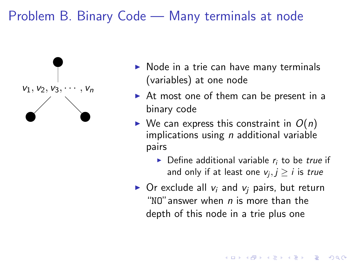### Problem B. Binary Code — Many terminals at node



- $\triangleright$  Node in a trie can have many terminals (variables) at one node
- $\triangleright$  At most one of them can be present in a binary code
- $\triangleright$  We can express this constraint in  $O(n)$ implications using  $n$  additional variable pairs
	- $\triangleright$  Define additional variable  $r_i$  to be true if and only if at least one  $\mathsf{v}_j, j \geq i$  is  $\mathit{true}$
- $\triangleright$  Or exclude all  $v_i$  and  $v_i$  pairs, but return "NO" answer when  $n$  is more than the depth of this node in a trie plus one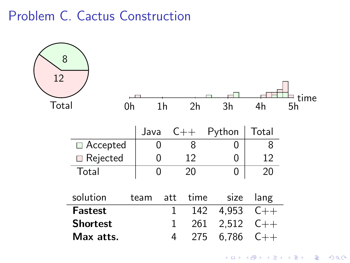## Problem C. Cactus Construction

| 8<br>12 |                 |    |      |                |                |        |       | time |
|---------|-----------------|----|------|----------------|----------------|--------|-------|------|
| Total   |                 | 0h |      | 1 <sub>h</sub> | 2 <sub>h</sub> | 3h     | 4h    | 5h   |
|         |                 |    | Java |                | $C++$          | Python | Total |      |
|         | $\Box$ Accepted |    | 0    |                | 8              | 0      | 8     |      |
|         | Rejected        |    | 0    |                | 12             | 0      | 12    |      |
|         | Total           |    | 0    |                | 20             | 0      | 20    |      |
|         | solution        |    | team | att            | time           | size   | lang  |      |
|         | <b>Fastest</b>  |    |      | 1              | 142            | 4,953  | $C++$ |      |
|         | <b>Shortest</b> |    |      | 1              | 261            | 2,512  | $C++$ |      |
|         | Max atts.       |    |      | 4              | 275            | 6,786  | $C++$ |      |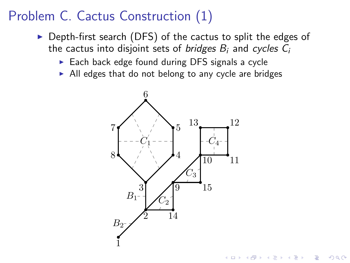# Problem C. Cactus Construction (1)

- $\triangleright$  Depth-first search (DFS) of the cactus to split the edges of the cactus into disjoint sets of *bridges*  $B_i$  and cycles  $C_i$ 
	- $\triangleright$  Each back edge found during DFS signals a cycle
	- $\triangleright$  All edges that do not belong to any cycle are bridges



 $2990$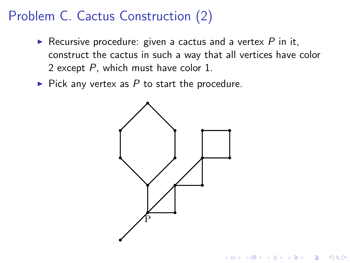# Problem C. Cactus Construction (2)

- Recursive procedure: given a cactus and a vertex  $P$  in it, construct the cactus in such a way that all vertices have color 2 except P, which must have color 1.
- $\blacktriangleright$  Pick any vertex as P to start the procedure.



**KORK ERKER ADE YOUR**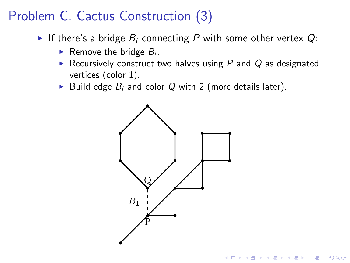# Problem C. Cactus Construction (3)

- If there's a bridge  $B_i$  connecting P with some other vertex  $Q$ :
	- Remove the bridge  $B_i$ .
	- Recursively construct two halves using  $P$  and  $Q$  as designated vertices (color 1).
	- Build edge  $B_i$  and color Q with 2 (more details later).

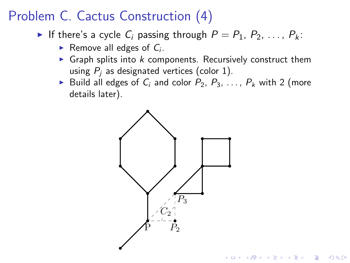# Problem C. Cactus Construction (4)

- If there's a cycle C<sub>i</sub> passing through  $P = P_1, P_2, \ldots, P_k$ :
	- Remove all edges of  $C_i$ .
	- $\triangleright$  Graph splits into k components. Recursively construct them using  $P_i$  as designated vertices (color 1).
	- Build all edges of  $C_i$  and color  $P_2, P_3, \ldots, P_k$  with 2 (more details later).

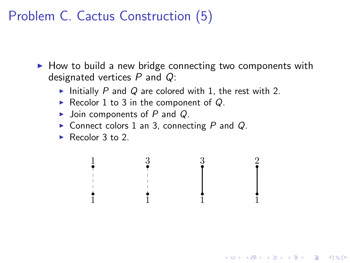Problem C. Cactus Construction (5)

 $\triangleright$  How to build a new bridge connecting two components with designated vertices  $P$  and  $Q$ :

1

1

K ロ ▶ K @ ▶ K 할 > K 할 > 1 할 > 1 이익어

2

3

- Initially P and Q are colored with 1, the rest with 2.
- Recolor 1 to 3 in the component of  $Q$ .
- $\blacktriangleright$  Join components of P and Q.
- $\triangleright$  Connect colors 1 an 3, connecting P and Q.

1

3

Recolor 3 to 2.

1

1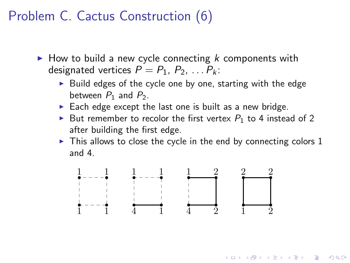## Problem C. Cactus Construction (6)

- $\blacktriangleright$  How to build a new cycle connecting k components with designated vertices  $P = P_1, P_2, \ldots P_k$ :
	- $\triangleright$  Build edges of the cycle one by one, starting with the edge between  $P_1$  and  $P_2$ .
	- $\blacktriangleright$  Each edge except the last one is built as a new bridge.
	- But remember to recolor the first vertex  $P_1$  to 4 instead of 2 after building the first edge.
	- $\triangleright$  This allows to close the cycle in the end by connecting colors 1 and 4.

**KORKARYKERKE POLO** 

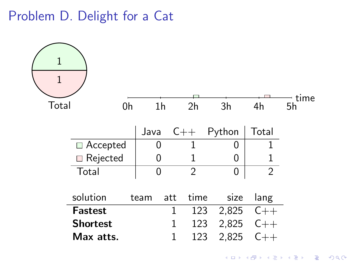Problem D. Delight for a Cat

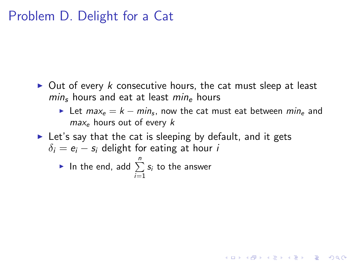#### Problem D. Delight for a Cat

- $\triangleright$  Out of every k consecutive hours, the cat must sleep at least  $min<sub>s</sub>$  hours and eat at least  $min<sub>e</sub>$  hours
	- ► Let  $max_e = k min_s$ , now the cat must eat between  $min_e$  and  $max_e$  hours out of every k

**KORK ERKER ADE YOUR** 

 $\triangleright$  Let's say that the cat is sleeping by default, and it gets  $\delta_i = e_i - s_i$  delight for eating at hour *i* 

▶ In the end, add 
$$
\sum_{i=1}^{n} s_i
$$
 to the answer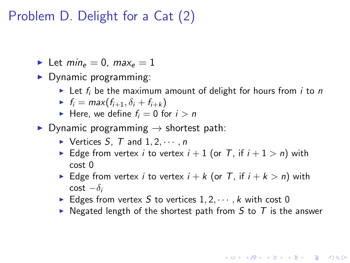# Problem D. Delight for a Cat (2)

In Let  $\min_{\epsilon} = 0$ ,  $\max_{\epsilon} = 1$ 

- $\blacktriangleright$  Dynamic programming:
	- In Let  $f_i$  be the maximum amount of delight for hours from i to n
	- $\blacktriangleright$  f<sub>i</sub> = max(f<sub>i+1</sub>,  $\delta_i$  + f<sub>i+k</sub>)
	- Here, we define  $f_i = 0$  for  $i > n$
- $\triangleright$  Dynamic programming  $\rightarrow$  shortest path:
	- $\triangleright$  Vertices S, T and  $1, 2, \cdots, n$
	- Edge from vertex *i* to vertex  $i + 1$  (or T, if  $i + 1 > n$ ) with cost 0
	- Edge from vertex *i* to vertex  $i + k$  (or T, if  $i + k > n$ ) with cost  $-\delta_i$
	- Edges from vertex S to vertices  $1, 2, \dots, k$  with cost 0
	- $\triangleright$  Negated length of the shortest path from S to T is the answer

**KORKAR KERKER EL VOLO**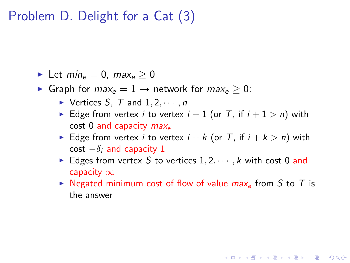## Problem D. Delight for a Cat (3)

- ► Let  $min_e = 0$ ,  $max_e > 0$
- ► Graph for  $max_e = 1 \rightarrow$  network for  $max_e > 0$ :
	- $\blacktriangleright$  Vertices S, T and  $1, 2, \cdots, n$
	- Edge from vertex *i* to vertex  $i + 1$  (or T, if  $i + 1 > n$ ) with cost 0 and capacity  $max_e$
	- Edge from vertex *i* to vertex  $i + k$  (or T, if  $i + k > n$ ) with cost  $-\delta_i$  and capacity 1
	- Edges from vertex S to vertices  $1, 2, \dots, k$  with cost 0 and capacity  $\infty$
	- $\triangleright$  Negated minimum cost of flow of value  $max_e$  from S to T is the answer

**KORK ERKER ADE YOUR**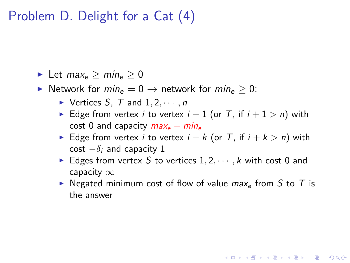## Problem D. Delight for a Cat (4)

► Let  $max_e > min_e > 0$ 

► Network for  $min_e = 0 \rightarrow$  network for  $min_e > 0$ :

- $\triangleright$  Vertices S, T and  $1, 2, \cdots, n$
- Edge from vertex *i* to vertex  $i + 1$  (or T, if  $i + 1 > n$ ) with cost 0 and capacity  $max_e - min_e$
- Edge from vertex *i* to vertex  $i + k$  (or T, if  $i + k > n$ ) with cost  $-\delta_i$  and capacity 1
- Edges from vertex S to vertices  $1, 2, \dots, k$  with cost 0 and capacity  $\infty$
- $\triangleright$  Negated minimum cost of flow of value max<sub>e</sub> from S to T is the answer

**KORK ERKER ADE YOUR**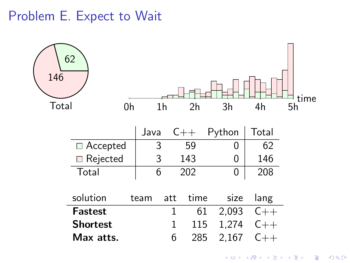Problem E. Expect to Wait

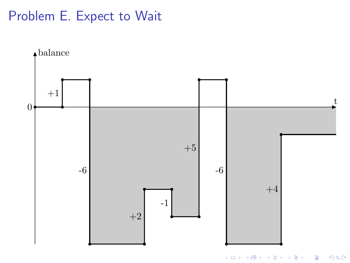# Problem E. Expect to Wait

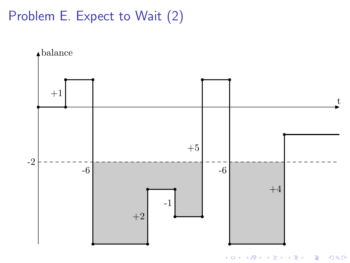# Problem E. Expect to Wait (2)



イロト 不優 ト 不差 ト 不差 トー 重  $299$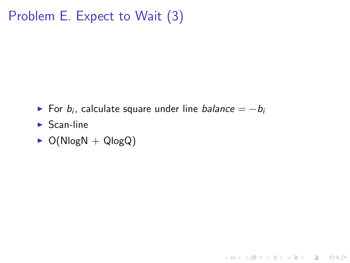# Problem E. Expect to Wait (3)

► For  $b_i$ , calculate square under line  $\mathit{balance} = -\mathit{b}_i$ 

KO KKOK KEK KEK LE I KORO

- $\blacktriangleright$  Scan-line
- $\triangleright$  O(NlogN + QlogQ)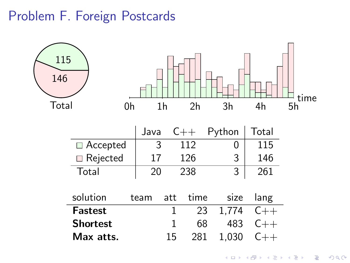#### Problem F. Foreign Postcards

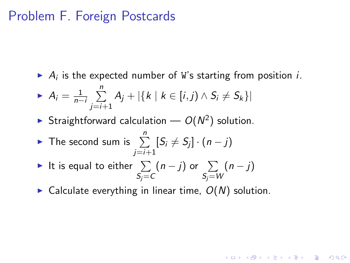#### Problem F. Foreign Postcards

A<sub>i</sub> is the expected number of W's starting from position *i*.

$$
\blacktriangleright A_i = \frac{1}{n-i} \sum_{j=i+1}^n A_j + |\{k \mid k \in [i,j) \land S_i \neq S_k\}|
$$

- Straightforward calculation  $O(N^2)$  solution.
- ► The second sum is  $\sum_{i=1}^{n} [S_i \neq S_j] \cdot (n-j)$  $i=i+1$
- It is equal to either  $\Sigma$  $S_j = C$  $(n-j)$  or  $\Sigma$  $S_j = W$  $(n-j)$
- $\triangleright$  Calculate everything in linear time,  $O(N)$  solution.

**KORKAR KERKER EL VOLO**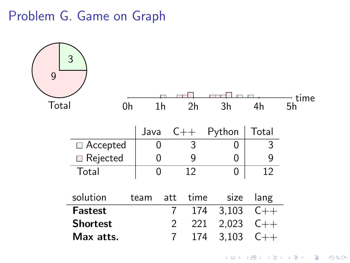#### Problem G. Game on Graph

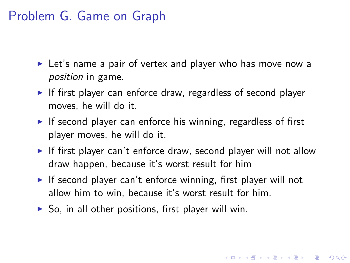## Problem G. Game on Graph

- $\triangleright$  Let's name a pair of vertex and player who has move now a position in game.
- If first player can enforce draw, regardless of second player moves, he will do it.
- If second player can enforce his winning, regardless of first player moves, he will do it.
- If first player can't enforce draw, second player will not allow draw happen, because it's worst result for him

4 D > 4 P + 4 B + 4 B + B + 9 Q O

- If second player can't enforce winning, first player will not allow him to win, because it's worst result for him.
- $\triangleright$  So, in all other positions, first player will win.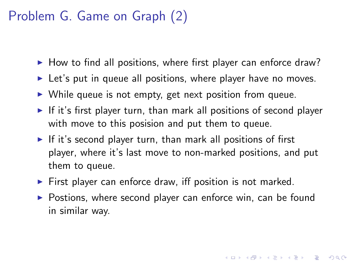# Problem G. Game on Graph (2)

- $\blacktriangleright$  How to find all positions, where first player can enforce draw?
- $\triangleright$  Let's put in queue all positions, where player have no moves.
- $\triangleright$  While queue is not empty, get next position from queue.
- If it's first player turn, than mark all positions of second player with move to this posision and put them to queue.
- If it's second player turn, than mark all positions of first player, where it's last move to non-marked positions, and put them to queue.
- $\triangleright$  First player can enforce draw, iff position is not marked.
- $\triangleright$  Postions, where second player can enforce win, can be found in similar way.

**KORK ERKER ADE YOUR**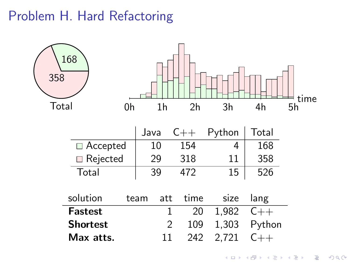# Problem H. Hard Refactoring

| 168<br>358        |                |                |        |        | time |
|-------------------|----------------|----------------|--------|--------|------|
| Total<br>0h       | 1 <sub>h</sub> | 2 <sub>h</sub> | 3h     | 4h     | 5h   |
|                   | Java           | $C++$          | Python | Total  |      |
| $\Box$ Accepted   | 10             | 154            | 4      | 168    |      |
| <b>□</b> Rejected | 29             | 318            | 11     | 358    |      |
| Total             | 39             | 472            | 15     | 526    |      |
| solution          | att<br>team    | time           | size   | lang   |      |
| <b>Fastest</b>    |                | 20<br>1        | 1,982  | $C++$  |      |
| <b>Shortest</b>   |                | 2<br>109       | 1,303  | Python |      |
| Max atts.         | 11             | 242            | 2,721  | $C++$  |      |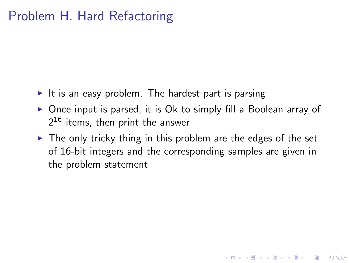# Problem H. Hard Refactoring

- It is an easy problem. The hardest part is parsing
- $\triangleright$  Once input is parsed, it is Ok to simply fill a Boolean array of  $2^{16}$  items, then print the answer
- $\triangleright$  The only tricky thing in this problem are the edges of the set of 16-bit integers and the corresponding samples are given in the problem statement

**KORK ERKER ADE YOUR**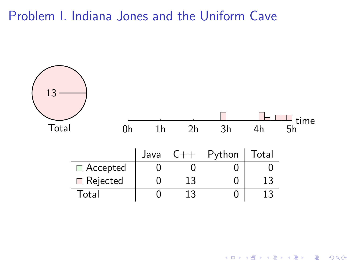Problem I. Indiana Jones and the Uniform Cave



イロメ 不優 メイ君 メイ君 メー 君一  $299$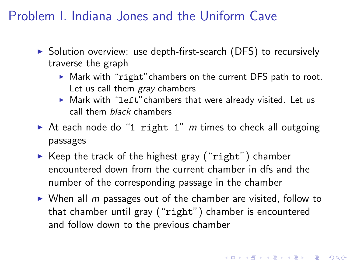# Problem I. Indiana Jones and the Uniform Cave

- $\triangleright$  Solution overview: use depth-first-search (DFS) to recursively traverse the graph
	- $\triangleright$  Mark with "right" chambers on the current DFS path to root. Let us call them *gray* chambers
	- $\triangleright$  Mark with "left" chambers that were already visited. Let us call them black chambers
- At each node do "1 right 1" m times to check all outgoing passages
- $\triangleright$  Keep the track of the highest gray ("right") chamber encountered down from the current chamber in dfs and the number of the corresponding passage in the chamber
- $\triangleright$  When all m passages out of the chamber are visited, follow to that chamber until gray ("right") chamber is encountered and follow down to the previous chamber

4 D > 4 P + 4 B + 4 B + B + 9 Q O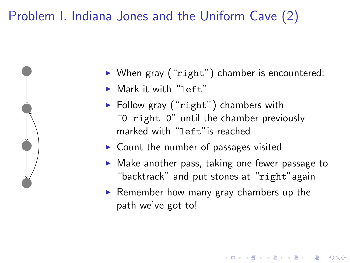# Problem I. Indiana Jones and the Uniform Cave (2)



- $\triangleright$  When gray ("right") chamber is encountered:
- $\blacktriangleright$  Mark it with "left"
- $\blacktriangleright$  Follow gray ("right") chambers with "0 right 0" until the chamber previously marked with "left"is reached
- $\triangleright$  Count the number of passages visited
- $\triangleright$  Make another pass, taking one fewer passage to "backtrack" and put stones at "right"again

4 D > 4 P + 4 B + 4 B + B + 9 Q O

 $\blacktriangleright$  Remember how many gray chambers up the path we've got to!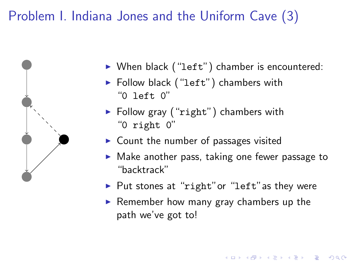# Problem I. Indiana Jones and the Uniform Cave (3)



- $\triangleright$  When black ("left") chamber is encountered:
- $\blacktriangleright$  Follow black ("left") chambers with "0 left 0"
- $\blacktriangleright$  Follow gray ("right") chambers with "0 right 0"
- $\triangleright$  Count the number of passages visited
- $\triangleright$  Make another pass, taking one fewer passage to "backtrack"
- $\blacktriangleright$  Put stones at "right" or "left" as they were
- $\blacktriangleright$  Remember how many gray chambers up the path we've got to!

**KORK ERKER ADE YOUR**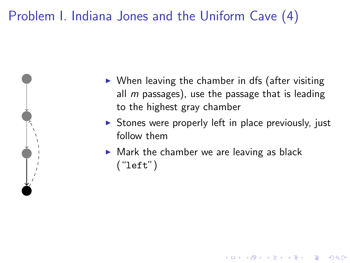# Problem I. Indiana Jones and the Uniform Cave (4)



- $\triangleright$  When leaving the chamber in dfs (after visiting all  $m$  passages), use the passage that is leading to the highest gray chamber
- $\triangleright$  Stones were properly left in place previously, just follow them

**KORK ERKER ADE YOUR** 

 $\blacktriangleright$  Mark the chamber we are leaving as black ("left")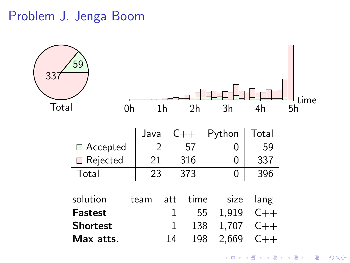## Problem J. Jenga Boom



イロト イ押 トイヨト イヨト 重  $299$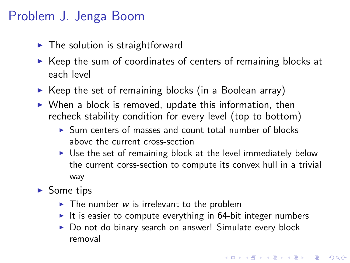# Problem J. Jenga Boom

- $\blacktriangleright$  The solution is straightforward
- $\triangleright$  Keep the sum of coordinates of centers of remaining blocks at each level
- $\triangleright$  Keep the set of remaining blocks (in a Boolean array)
- $\triangleright$  When a block is removed, update this information, then recheck stability condition for every level (top to bottom)
	- $\triangleright$  Sum centers of masses and count total number of blocks above the current cross-section
	- $\triangleright$  Use the set of remaining block at the level immediately below the current corss-section to compute its convex hull in a trivial way
- $\blacktriangleright$  Some tips
	- $\triangleright$  The number w is irrelevant to the problem
	- It is easier to compute everything in  $64$ -bit integer numbers
	- ▶ Do not do binary search on answer! Simulate every block removal

**KORK ERKER ADE YOUR**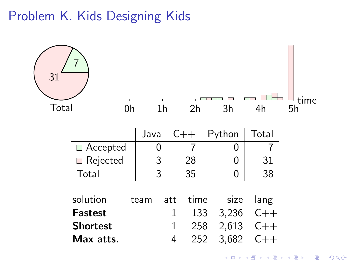Problem K. Kids Designing Kids

| 31              |      |                |       |        |       | tıme |
|-----------------|------|----------------|-------|--------|-------|------|
| Total<br>0h     |      | 1 <sub>h</sub> | 2h    | 3h     | 4h    | 5h   |
|                 | Java |                | $C++$ | Python | Total |      |
| □ Accepted      | 0    |                | 7     | ი      |       |      |
| Rejected        | 3    |                | 28    | 0      | 31    |      |
| Total           | 3    |                | 35    | 0      | 38    |      |
|                 |      |                |       |        |       |      |
| solution        | team | att            | time  | size   | lang  |      |
| <b>Fastest</b>  |      | 1              | 133   | 3,236  | $C++$ |      |
| <b>Shortest</b> |      | 1              | 258   | 2,613  | $C++$ |      |
| Max atts.       |      | 4              | 252   | 3,682  | $C++$ |      |

K ロ X K 메 X K B X X B X X D X O Q Q O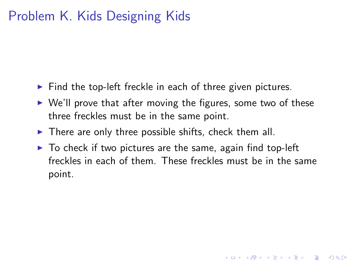# Problem K. Kids Designing Kids

- $\blacktriangleright$  Find the top-left freckle in each of three given pictures.
- $\triangleright$  We'll prove that after moving the figures, some two of these three freckles must be in the same point.
- $\blacktriangleright$  There are only three possible shifts, check them all.
- $\triangleright$  To check if two pictures are the same, again find top-left freckles in each of them. These freckles must be in the same point.

**KORK ERKER ADE YOUR**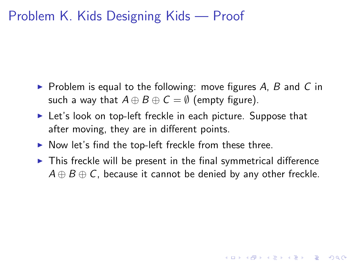## Problem K. Kids Designing Kids — Proof

- $\triangleright$  Problem is equal to the following: move figures A, B and C in such a way that  $A \oplus B \oplus C = \emptyset$  (empty figure).
- $\blacktriangleright$  Let's look on top-left freckle in each picture. Suppose that after moving, they are in different points.
- $\triangleright$  Now let's find the top-left freckle from these three.
- $\triangleright$  This freckle will be present in the final symmetrical difference  $A \oplus B \oplus C$ , because it cannot be denied by any other freckle.

4 D > 4 P + 4 B + 4 B + B + 9 Q O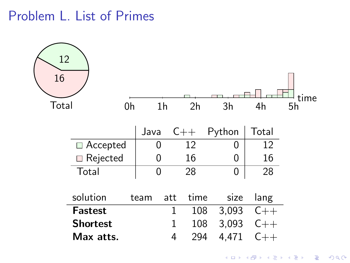## Problem L. List of Primes

|                |             |                                                             |      |                                       |        |                           | time                                             |
|----------------|-------------|-------------------------------------------------------------|------|---------------------------------------|--------|---------------------------|--------------------------------------------------|
|                | 0h          |                                                             |      | 2 <sub>h</sub>                        | 3h     | 4h                        | 5h                                               |
|                |             |                                                             |      |                                       | Python | Total                     |                                                  |
|                |             |                                                             |      | 12                                    | 0      | 12                        |                                                  |
|                |             |                                                             |      | 16                                    | 0      | 16                        |                                                  |
| Total          |             |                                                             |      | 28                                    | 0      | 28                        |                                                  |
| solution       |             |                                                             | att  |                                       |        |                           |                                                  |
| <b>Fastest</b> |             |                                                             | 1    |                                       |        |                           |                                                  |
|                |             |                                                             | 1    |                                       |        | $C++$                     |                                                  |
|                |             |                                                             | 4    |                                       |        | $C++$                     |                                                  |
| 16             | 12<br>Total | $\Box$ Accepted<br>Rejected<br><b>Shortest</b><br>Max atts. | team | 1 <sub>h</sub><br>Java<br>0<br>0<br>0 | $C++$  | time<br>108<br>108<br>294 | size<br>lang<br>3,093<br>$C++$<br>3,093<br>4,471 |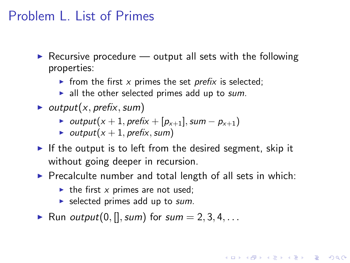## Problem L. List of Primes

- Recursive procedure  $-$  output all sets with the following properties:
	- In from the first x primes the set prefix is selected;
	- $\blacktriangleright$  all the other selected primes add up to sum.
- $\blacktriangleright$  output(x, prefix, sum)
	- $\triangleright$  output(x + 1, prefix + [ $p_{x+1}$ ], sum −  $p_{x+1}$ )
	- output( $x + 1$ , prefix, sum)
- If the output is to left from the desired segment, skip it without going deeper in recursion.
- $\triangleright$  Precalculte number and total length of all sets in which:

**K ロ ▶ K @ ▶ K 할 X X 할 X → 할 X → 9 Q Q ^** 

- $\triangleright$  the first x primes are not used;
- $\blacktriangleright$  selected primes add up to sum.
- Run *output*(0, [], sum) for sum  $= 2, 3, 4, \ldots$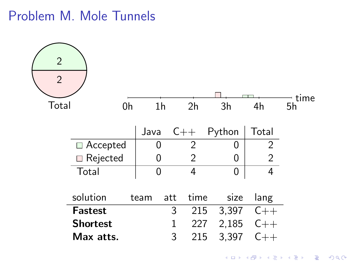## Problem M. Mole Tunnels

| $\overline{2}$<br>$\overline{2}$ |                         |    |      |                |       |      |        |                | time |
|----------------------------------|-------------------------|----|------|----------------|-------|------|--------|----------------|------|
| Total                            |                         | 0h |      | 1 <sub>h</sub> | 2h    |      | 3h     | 4h             | 5h   |
|                                  |                         |    | Java |                | $C++$ |      | Python | Total          |      |
|                                  | $\Box$ Accepted         |    |      | 0              | 2     |      | 0      | $\overline{2}$ |      |
|                                  | $\blacksquare$ Rejected |    |      | 0              | 2     |      | 0      | $\overline{2}$ |      |
|                                  | Total                   |    |      | 0              | 4     |      | 0      | 4              |      |
|                                  | solution                |    | team | att            |       | time | size   | lang           |      |
|                                  | <b>Fastest</b>          |    |      |                | 3     | 215  | 3,397  | $C++$          |      |
|                                  | <b>Shortest</b>         |    |      |                | 1     | 227  | 2,185  | $C++$          |      |
|                                  | Max atts.               |    |      |                | 3     | 215  | 3,397  | $C++$          |      |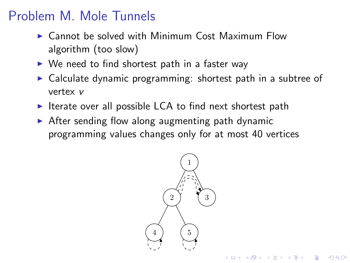# Problem M. Mole Tunnels

- $\triangleright$  Cannot be solved with Minimum Cost Maximum Flow algorithm (too slow)
- $\triangleright$  We need to find shortest path in a faster way
- $\triangleright$  Calculate dynamic programming: shortest path in a subtree of vertex v
- $\triangleright$  Iterate over all possible LCA to find next shortest path
- $\triangleright$  After sending flow along augmenting path dynamic programming values changes only for at most 40 vertices



**KORK STRAIN A BAR SHOP**